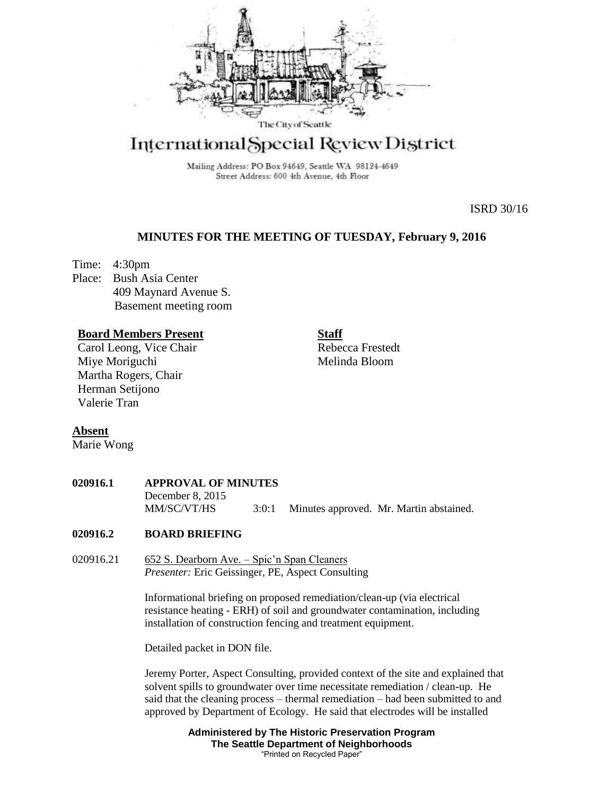

# International Special Review District

Mailing Address: PO Box 94649, Seattle WA 98124-4649 Street Address: 600 4th Avenue, 4th Floor

ISRD 30/16

# **MINUTES FOR THE MEETING OF TUESDAY, February 9, 2016**

Time: 4:30pm Place: Bush Asia Center 409 Maynard Avenue S. Basement meeting room

## **Board Members Present**

Carol Leong, Vice Chair Miye Moriguchi Martha Rogers, Chair Herman Setijono Valerie Tran

**Staff**

Rebecca Frestedt Melinda Bloom

# **Absent**

Marie Wong

| 020916.1 | <b>APPROVAL OF MINUTES</b> |       |  |                                         |
|----------|----------------------------|-------|--|-----------------------------------------|
|          | December 8, 2015           |       |  |                                         |
|          | MM/SC/VT/HS                | 3:0:1 |  | Minutes approved. Mr. Martin abstained. |

# **020916.2 BOARD BRIEFING**

020916.21 652 S. Dearborn Ave. – Spic'n Span Cleaners *Presenter:* Eric Geissinger, PE, Aspect Consulting

> Informational briefing on proposed remediation/clean-up (via electrical resistance heating - ERH) of soil and groundwater contamination, including installation of construction fencing and treatment equipment.

Detailed packet in DON file.

Jeremy Porter, Aspect Consulting, provided context of the site and explained that solvent spills to groundwater over time necessitate remediation / clean-up. He said that the cleaning process – thermal remediation – had been submitted to and approved by Department of Ecology. He said that electrodes will be installed

> **Administered by The Historic Preservation Program The Seattle Department of Neighborhoods** "Printed on Recycled Paper"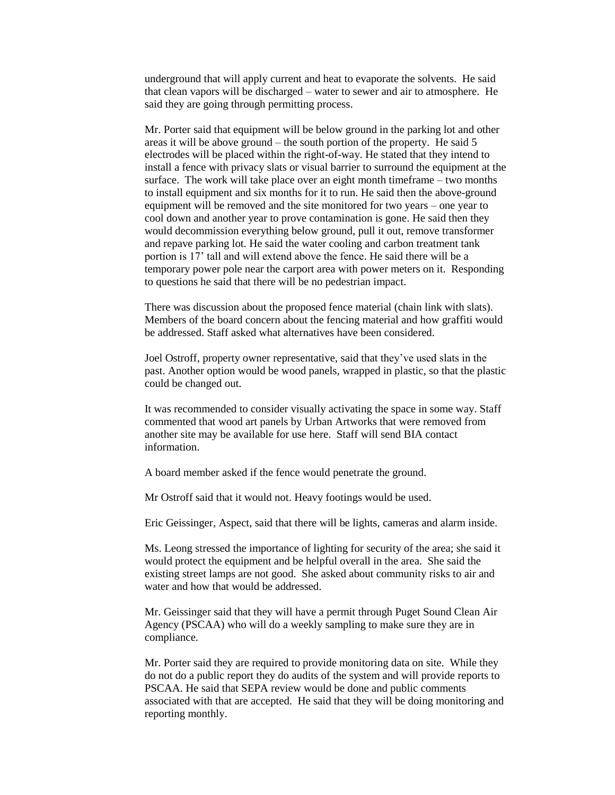underground that will apply current and heat to evaporate the solvents. He said that clean vapors will be discharged – water to sewer and air to atmosphere. He said they are going through permitting process.

Mr. Porter said that equipment will be below ground in the parking lot and other areas it will be above ground – the south portion of the property. He said 5 electrodes will be placed within the right-of-way. He stated that they intend to install a fence with privacy slats or visual barrier to surround the equipment at the surface. The work will take place over an eight month timeframe – two months to install equipment and six months for it to run. He said then the above-ground equipment will be removed and the site monitored for two years – one year to cool down and another year to prove contamination is gone. He said then they would decommission everything below ground, pull it out, remove transformer and repave parking lot. He said the water cooling and carbon treatment tank portion is 17' tall and will extend above the fence. He said there will be a temporary power pole near the carport area with power meters on it. Responding to questions he said that there will be no pedestrian impact.

There was discussion about the proposed fence material (chain link with slats). Members of the board concern about the fencing material and how graffiti would be addressed. Staff asked what alternatives have been considered.

Joel Ostroff, property owner representative, said that they've used slats in the past. Another option would be wood panels, wrapped in plastic, so that the plastic could be changed out.

It was recommended to consider visually activating the space in some way. Staff commented that wood art panels by Urban Artworks that were removed from another site may be available for use here. Staff will send BIA contact information.

A board member asked if the fence would penetrate the ground.

Mr Ostroff said that it would not. Heavy footings would be used.

Eric Geissinger, Aspect, said that there will be lights, cameras and alarm inside.

Ms. Leong stressed the importance of lighting for security of the area; she said it would protect the equipment and be helpful overall in the area. She said the existing street lamps are not good. She asked about community risks to air and water and how that would be addressed.

Mr. Geissinger said that they will have a permit through Puget Sound Clean Air Agency (PSCAA) who will do a weekly sampling to make sure they are in compliance.

Mr. Porter said they are required to provide monitoring data on site. While they do not do a public report they do audits of the system and will provide reports to PSCAA. He said that SEPA review would be done and public comments associated with that are accepted. He said that they will be doing monitoring and reporting monthly.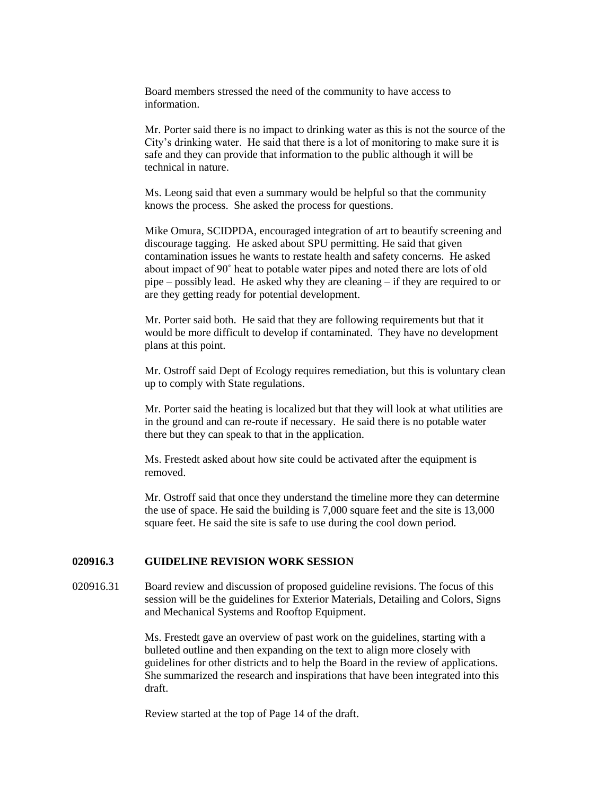Board members stressed the need of the community to have access to information.

Mr. Porter said there is no impact to drinking water as this is not the source of the City's drinking water. He said that there is a lot of monitoring to make sure it is safe and they can provide that information to the public although it will be technical in nature.

Ms. Leong said that even a summary would be helpful so that the community knows the process. She asked the process for questions.

Mike Omura, SCIDPDA, encouraged integration of art to beautify screening and discourage tagging. He asked about SPU permitting. He said that given contamination issues he wants to restate health and safety concerns. He asked about impact of 90˚ heat to potable water pipes and noted there are lots of old pipe – possibly lead. He asked why they are cleaning – if they are required to or are they getting ready for potential development.

Mr. Porter said both. He said that they are following requirements but that it would be more difficult to develop if contaminated. They have no development plans at this point.

Mr. Ostroff said Dept of Ecology requires remediation, but this is voluntary clean up to comply with State regulations.

Mr. Porter said the heating is localized but that they will look at what utilities are in the ground and can re-route if necessary. He said there is no potable water there but they can speak to that in the application.

Ms. Frestedt asked about how site could be activated after the equipment is removed.

Mr. Ostroff said that once they understand the timeline more they can determine the use of space. He said the building is 7,000 square feet and the site is 13,000 square feet. He said the site is safe to use during the cool down period.

#### **020916.3 GUIDELINE REVISION WORK SESSION**

020916.31 Board review and discussion of proposed guideline revisions. The focus of this session will be the guidelines for Exterior Materials, Detailing and Colors, Signs and Mechanical Systems and Rooftop Equipment.

> Ms. Frestedt gave an overview of past work on the guidelines, starting with a bulleted outline and then expanding on the text to align more closely with guidelines for other districts and to help the Board in the review of applications. She summarized the research and inspirations that have been integrated into this draft.

Review started at the top of Page 14 of the draft.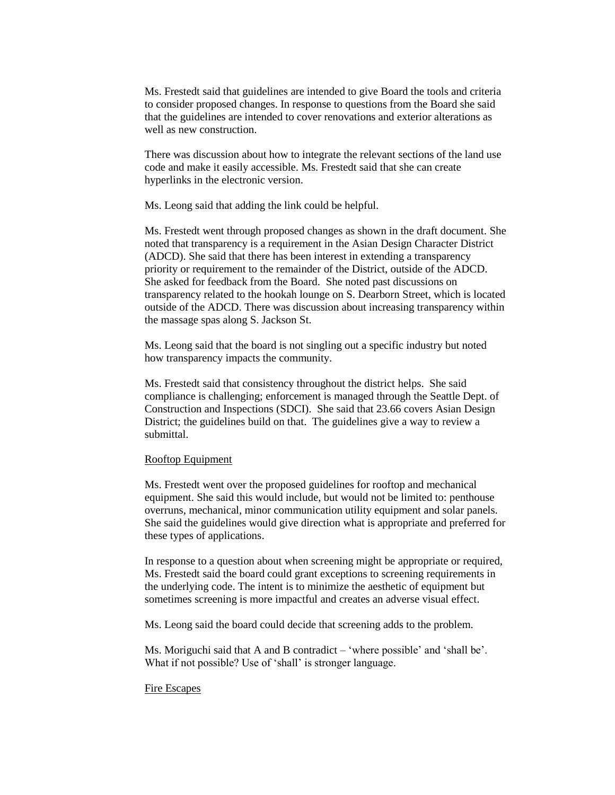Ms. Frestedt said that guidelines are intended to give Board the tools and criteria to consider proposed changes. In response to questions from the Board she said that the guidelines are intended to cover renovations and exterior alterations as well as new construction.

There was discussion about how to integrate the relevant sections of the land use code and make it easily accessible. Ms. Frestedt said that she can create hyperlinks in the electronic version.

Ms. Leong said that adding the link could be helpful.

Ms. Frestedt went through proposed changes as shown in the draft document. She noted that transparency is a requirement in the Asian Design Character District (ADCD). She said that there has been interest in extending a transparency priority or requirement to the remainder of the District, outside of the ADCD. She asked for feedback from the Board. She noted past discussions on transparency related to the hookah lounge on S. Dearborn Street, which is located outside of the ADCD. There was discussion about increasing transparency within the massage spas along S. Jackson St.

Ms. Leong said that the board is not singling out a specific industry but noted how transparency impacts the community.

Ms. Frestedt said that consistency throughout the district helps. She said compliance is challenging; enforcement is managed through the Seattle Dept. of Construction and Inspections (SDCI). She said that 23.66 covers Asian Design District; the guidelines build on that. The guidelines give a way to review a submittal.

#### Rooftop Equipment

Ms. Frestedt went over the proposed guidelines for rooftop and mechanical equipment. She said this would include, but would not be limited to: penthouse overruns, mechanical, minor communication utility equipment and solar panels. She said the guidelines would give direction what is appropriate and preferred for these types of applications.

In response to a question about when screening might be appropriate or required, Ms. Frestedt said the board could grant exceptions to screening requirements in the underlying code. The intent is to minimize the aesthetic of equipment but sometimes screening is more impactful and creates an adverse visual effect.

Ms. Leong said the board could decide that screening adds to the problem.

Ms. Moriguchi said that A and B contradict – 'where possible' and 'shall be'. What if not possible? Use of 'shall' is stronger language.

#### Fire Escapes